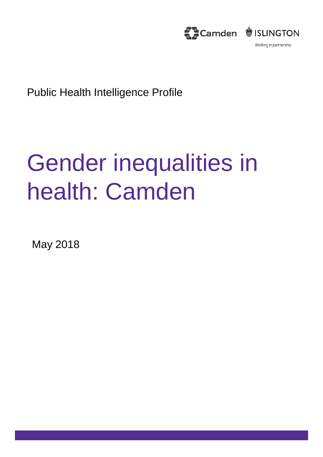

Public Health Intelligence Profile

# Gender inequalities in health: Camden

May 2018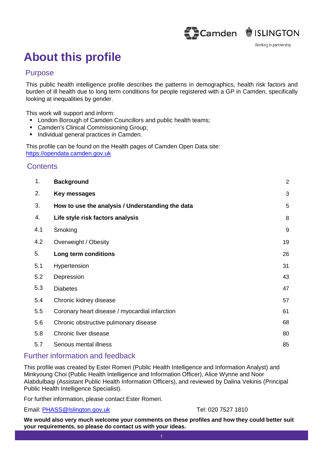

### **About this profile**

#### Purpose

This public health intelligence profile describes the patterns in demographics, health risk factors and burden of ill health due to long term conditions for people registered with a GP in Camden, specifically looking at inequalities by gender.

This work will support and inform:

- **EXECT** London Borough of Camden Councillors and public health teams;
- **Camden's Clinical Commissioning Group;**
- **Individual general practices in Camden.**

This profile can be found on the Health pages of Camden Open Data site: https://opendata.camden.gov.uk

#### **Contents**

| 1.  | <b>Background</b>                                | $\overline{2}$ |
|-----|--------------------------------------------------|----------------|
| 2.  | Key messages                                     | 3              |
| 3.  | How to use the analysis / Understanding the data | 5              |
| 4.  | Life style risk factors analysis                 | 8              |
| 4.1 | Smoking                                          | 9              |
| 4.2 | Overweight / Obesity                             | 19             |
| 5.  | Long term conditions                             | 26             |
| 5.1 | Hypertension                                     | 31             |
| 5.2 | Depression                                       | 43             |
| 5.3 | <b>Diabetes</b>                                  | 47             |
| 5.4 | Chronic kidney disease                           | 57             |
| 5.5 | Coronary heart disease / myocardial infarction   | 61             |
| 5.6 | Chronic obstructive pulmonary disease            | 68             |
| 5.8 | Chronic liver disease                            | 80             |
| 5.7 | Serious mental illness                           | 85             |

#### Further information and feedback

This profile was created by Ester Romeri (Public Health Intelligence and Information Analyst) and Minkyoung Choi (Public Health Intelligence and Information Officer), Alice Wynne and Noor Alabdulbaqi (Assistant Public Health Information Officers), and reviewed by Dalina Vekinis (Principal Public Health Intelligence Specialist).

For further information, please contact Ester Romeri.

Email: PHASS@Islington.gov.uk Tel: 020 7527 1810

**We would also very much welcome your comments on these profiles and how they could better suit your requirements, so please do contact us with your ideas.**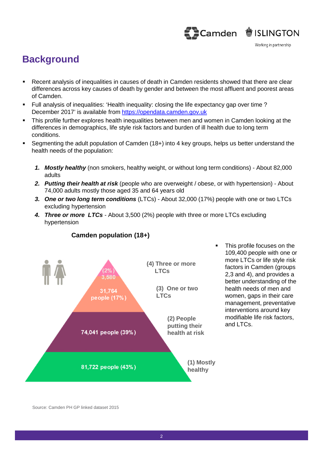#### **Background**

- Recent analysis of inequalities in causes of death in Camden residents showed that there are clear differences across key causes of death by gender and between the most affluent and poorest areas of Camden.
- Full analysis of inequalities: 'Health inequality: closing the life expectancy gap over time ? December 2017' is available from https://opendata.camden.gov.uk
- This profile further explores health inequalities between men and women in Camden looking at the differences in demographics, life style risk factors and burden of ill health due to long term conditions.
- Segmenting the adult population of Camden (18+) into 4 key groups, helps us better understand the health needs of the population:
	- *1. Mostly healthy* (non smokers, healthy weight, or without long term conditions) About 82,000 adults
	- *2. Putting their health at risk* (people who are overweight / obese, or with hypertension) About 74,000 adults mostly those aged 35 and 64 years old
	- *3. One or two long term conditions* (LTCs) About 32,000 (17%) people with one or two LTCs excluding hypertension
	- *4. Three or more LTCs* About 3,500 (2%) people with three or more LTCs excluding hypertension



**Camden population (18+)**

 This profile focuses on the 109,400 people with one or more LTCs or life style risk factors in Camden (groups 2,3 and 4), and provides a better understanding of the health needs of men and women, gaps in their care management, preventative interventions around key modifiable life risk factors, and LTCs.

Source: Camden PH GP linked dataset 2015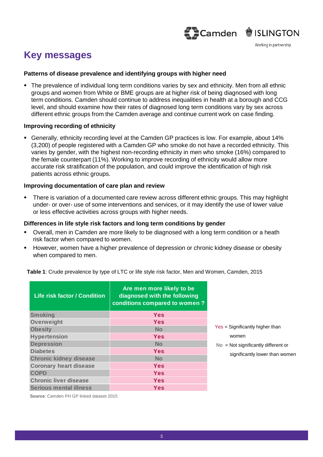

### **Key messages**

#### **Patterns of disease prevalence and identifying groups with higher need**

 The prevalence of individual long term conditions varies by sex and ethnicity. Men from all ethnic groups and women from White or BME groups are at higher risk of being diagnosed with long term conditions. Camden should continue to address inequalities in health at a borough and CCG level, and should examine how their rates of diagnosed long term conditions vary by sex across different ethnic groups from the Camden average and continue current work on case finding.

#### **Improving recording of ethnicity**

 Generally, ethnicity recording level at the Camden GP practices is low. For example, about 14% (3,200) of people registered with a Camden GP who smoke do not have a recorded ethnicity. This varies by gender, with the highest non-recording ethnicity in men who smoke (16%) compared to the female counterpart (11%). Working to improve recording of ethnicity would allow more accurate risk stratification of the population, and could improve the identification of high risk patients across ethnic groups.

#### **Improving documentation of care plan and review**

 There is variation of a documented care review across different ethnic groups. This may highlight under- or over- use of some interventions and services, or it may identify the use of lower value or less effective activities across groups with higher needs.

#### **Differences in life style risk factors and long term conditions by gender**

- Overall, men in Camden are more likely to be diagnosed with a long term condition or a heath risk factor when compared to women.
- However, women have a higher prevalence of depression or chronic kidney disease or obesity when compared to men.

| <b>Life risk factor / Condition</b> | Are men more likely to be<br>diagnosed with the following<br>conditions compared to women? |  |  |  |
|-------------------------------------|--------------------------------------------------------------------------------------------|--|--|--|
| <b>Smoking</b>                      | Yes                                                                                        |  |  |  |
| Overweight                          | Yes                                                                                        |  |  |  |
| <b>Obesity</b>                      | <b>No</b>                                                                                  |  |  |  |
| <b>Hypertension</b>                 | <b>Yes</b>                                                                                 |  |  |  |
| <b>Depression</b>                   | <b>No</b>                                                                                  |  |  |  |
| <b>Diabetes</b>                     | Yes                                                                                        |  |  |  |
| <b>Chronic kidney disease</b>       | <b>No</b>                                                                                  |  |  |  |
| <b>Coronary heart disease</b>       | <b>Yes</b>                                                                                 |  |  |  |
| <b>COPD</b>                         | <b>Yes</b>                                                                                 |  |  |  |
| <b>Chronic liver disease</b>        | <b>Yes</b>                                                                                 |  |  |  |
| <b>Serious mental illness</b>       | <b>Yes</b>                                                                                 |  |  |  |

**Table 1**: Crude prevalence by type of LTC or life style risk factor, Men and Women, Camden, 2015

Significantly higher than women

Not significantly different or significantly lower than women

**Source**: Camden PH GP linked dataset 2015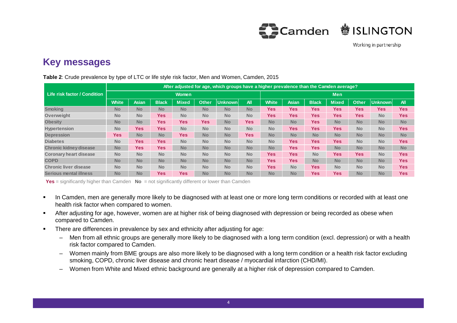

#### **Key messages**

|                               | After adjusted for age, which groups have a higher prevalence than the Camden average? |              |              |              |              |            |            |              |              |              |              |              |            |            |
|-------------------------------|----------------------------------------------------------------------------------------|--------------|--------------|--------------|--------------|------------|------------|--------------|--------------|--------------|--------------|--------------|------------|------------|
| Life risk factor / Condition  | <b>Women</b>                                                                           |              |              |              |              | <b>Men</b> |            |              |              |              |              |              |            |            |
|                               | <b>White</b>                                                                           | <b>Asian</b> | <b>Black</b> | <b>Mixed</b> | <b>Other</b> | Unknown    | <b>All</b> | <b>White</b> | <b>Asian</b> | <b>Black</b> | <b>Mixed</b> | <b>Other</b> | Unknown    | <b>All</b> |
| <b>Smoking</b>                | <b>No</b>                                                                              | <b>No</b>    | <b>No</b>    | <b>No</b>    | <b>No</b>    | <b>No</b>  | <b>No</b>  | <b>Yes</b>   | Yes          | <b>Yes</b>   | <b>Yes</b>   | <b>Yes</b>   | <b>Yes</b> | <b>Yes</b> |
| Overweight                    | <b>No</b>                                                                              | <b>No</b>    | <b>Yes</b>   | <b>No</b>    | <b>No</b>    | <b>No</b>  | <b>No</b>  | <b>Yes</b>   | Yes          | Yes          | <b>Yes</b>   | <b>Yes</b>   | <b>No</b>  | <b>Yes</b> |
| <b>Obesity</b>                | <b>No</b>                                                                              | <b>No</b>    | <b>Yes</b>   | Yes:         | <b>Yes</b>   | <b>No</b>  | <b>Yes</b> | <b>No</b>    | <b>No</b>    | Yes          | <b>No</b>    | <b>No</b>    | <b>No</b>  | <b>No</b>  |
| <b>Hypertension</b>           | <b>No</b>                                                                              | <b>Yes</b>   | <b>Yes</b>   | <b>No</b>    | <b>No</b>    | <b>No</b>  | <b>No</b>  | <b>No</b>    | Yes          | <b>Yes</b>   | <b>Yes</b>   | <b>No</b>    | <b>No</b>  | <b>Yes</b> |
| <b>Depression</b>             | <b>Yes</b>                                                                             | <b>No</b>    | <b>No</b>    | <b>Yes</b>   | <b>No</b>    | <b>No</b>  | <b>Yes</b> | <b>No</b>    | <b>No</b>    | <b>No</b>    | <b>No</b>    | <b>No</b>    | <b>No</b>  | <b>No</b>  |
| <b>Diabetes</b>               | <b>No</b>                                                                              | <b>Yes</b>   | <b>Yes</b>   | <b>No</b>    | <b>No</b>    | <b>No</b>  | <b>No</b>  | <b>No</b>    | Yes          | <b>Yes</b>   | <b>Yes</b>   | <b>No</b>    | <b>No</b>  | <b>Yes</b> |
| <b>Chronic kidney disease</b> | <b>No</b>                                                                              | Yes:         | <b>Yes</b>   | <b>No</b>    | <b>No</b>    | <b>No</b>  | <b>No</b>  | <b>No</b>    | Yes          | Yes          | <b>No</b>    | <b>No</b>    | <b>No</b>  | <b>No</b>  |
| <b>Coronary heart disease</b> | <b>No</b>                                                                              | <b>No</b>    | <b>No</b>    | <b>No</b>    | <b>No</b>    | <b>No</b>  | <b>No</b>  | <b>Yes</b>   | <b>Yes</b>   | <b>No</b>    | <b>Yes</b>   | <b>Yes</b>   | <b>No</b>  | <b>Yes</b> |
| <b>COPD</b>                   | <b>No</b>                                                                              | <b>No</b>    | <b>No</b>    | <b>No</b>    | <b>No</b>    | <b>No</b>  | <b>No</b>  | <b>Yes</b>   | Yes          | <b>No</b>    | <b>No</b>    | <b>No</b>    | <b>No</b>  | <b>Yes</b> |
| <b>Chronic liver disease</b>  | <b>No</b>                                                                              | <b>No</b>    | <b>No</b>    | <b>No</b>    | <b>No</b>    | <b>No</b>  | <b>No</b>  | <b>Yes</b>   | <b>No</b>    | <b>Yes</b>   | <b>No</b>    | <b>No</b>    | <b>No</b>  | <b>Yes</b> |
| <b>Serious mental illness</b> | <b>No</b>                                                                              | <b>No</b>    | <b>Yes</b>   | <b>Yes</b>   | <b>No</b>    | <b>No</b>  | <b>No</b>  | <b>No</b>    | <b>No</b>    | Yes          | <b>Yes</b>   | <b>No</b>    | <b>No</b>  | <b>Yes</b> |

**Table 2**: Crude prevalence by type of LTC or life style risk factor, Men and Women, Camden, 2015

**Yes** = significantly higher than Camden **No** = not significantly different or lower than Camden

- In Camden, men are generally more likely to be diagnosed with at least one or more long term conditions or recorded with at least one health risk factor when compared to women.
- After adjusting for age, however, women are at higher risk of being diagnosed with depression or being recorded as obese when compared to Camden.
- **There are differences in prevalence by sex and ethnicity after adjusting for age:** 
	- Men from all ethnic groups are generally more likely to be diagnosed with a long term condition (excl. depression) or with a health risk factor compared to Camden.
	- Women mainly from BME groups are also more likely to be diagnosed with a long term condition or a health risk factor excluding smoking, COPD, chronic liver disease and chronic heart disease / myocardial infarction (CHD/MI).
	- Women from White and Mixed ethnic background are generally at a higher risk of depression compared to Camden.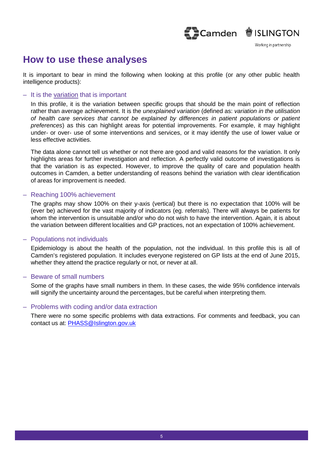Camden SISLINGTON

#### **How to use these analyses**

It is important to bear in mind the following when looking at this profile (or any other public health intelligence products):

#### – It is the variation that is important

In this profile, it is the variation between specific groups that should be the main point of reflection rather than average achievement. It is the *unexplained variation* (defined as: *variation in the utilisation of health care services that cannot be explained by differences in patient populations or patient preferences*) as this can highlight areas for potential improvements. For example, it may highlight under- or over- use of some interventions and services, or it may identify the use of lower value or less effective activities.

The data alone cannot tell us whether or not there are good and valid reasons for the variation. It only highlights areas for further investigation and reflection. A perfectly valid outcome of investigations is that the variation is as expected. However, to improve the quality of care and population health outcomes in Camden, a better understanding of reasons behind the variation with clear identification of areas for improvement is needed.

#### – Reaching 100% achievement

The graphs may show 100% on their y-axis (vertical) but there is no expectation that 100% will be (ever be) achieved for the vast majority of indicators (eg. referrals). There will always be patients for whom the intervention is unsuitable and/or who do not wish to have the intervention. Again, it is about the variation between different localities and GP practices, not an expectation of 100% achievement.

#### – Populations not individuals

Epidemiology is about the health of the population, not the individual. In this profile this is all of Camden's registered population. It includes everyone registered on GP lists at the end of June 2015, whether they attend the practice regularly or not, or never at all.

#### – Beware of small numbers

Some of the graphs have small numbers in them. In these cases, the wide 95% confidence intervals will signify the uncertainty around the percentages, but be careful when interpreting them.

#### – Problems with coding and/or data extraction

There were no some specific problems with data extractions. For comments and feedback, you can contact us at: PHASS@Islington.gov.uk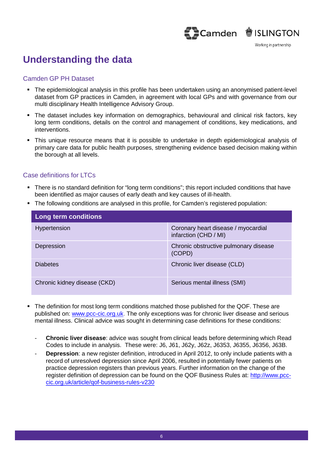### 

Working in partnership

#### **Understanding the data**

#### Camden GP PH Dataset

- The epidemiological analysis in this profile has been undertaken using an anonymised patient-level dataset from GP practices in Camden, in agreement with local GPs and with governance from our multi disciplinary Health Intelligence Advisory Group.
- The dataset includes key information on demographics, behavioural and clinical risk factors, key long term conditions, details on the control and management of conditions, key medications, and interventions.
- This unique resource means that it is possible to undertake in depth epidemiological analysis of primary care data for public health purposes, strengthening evidence based decision making within the borough at all levels.

#### Case definitions for LTCs

- There is no standard definition for "long term conditions"; this report included conditions that have been identified as major causes of early death and key causes of ill-health.
- The following conditions are analysed in this profile, for Camden's registered population:

| Long term conditions         |                                                              |  |  |  |  |  |
|------------------------------|--------------------------------------------------------------|--|--|--|--|--|
| Hypertension                 | Coronary heart disease / myocardial<br>infarction (CHD / MI) |  |  |  |  |  |
| Depression                   | Chronic obstructive pulmonary disease<br>(COPD)              |  |  |  |  |  |
| <b>Diabetes</b>              | Chronic liver disease (CLD)                                  |  |  |  |  |  |
| Chronic kidney disease (CKD) | Serious mental illness (SMI)                                 |  |  |  |  |  |

- The definition for most long term conditions matched those published for the QOF. These are published on: www.pcc-cic.org.uk. The only exceptions was for chronic liver disease and serious mental illness. Clinical advice was sought in determining case definitions for these conditions:
	- **Chronic liver disease**: advice was sought from clinical leads before determining which Read Codes to include in analysis. These were: J6, J61, J62y, J62z, J6353, J6355, J6356, J63B.
	- **Depression**: a new register definition, introduced in April 2012, to only include patients with a record of unresolved depression since April 2006, resulted in potentially fewer patients on practice depression registers than previous years. Further information on the change of the register definition of depression can be found on the QOF Business Rules at: http://www.pcccic.org.uk/article/qof-business-rules-v230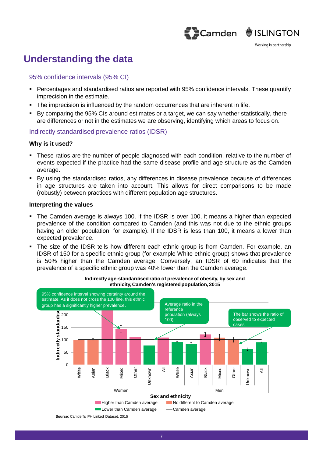### Camden SISLINGTON

#### **Understanding the data**

#### 95% confidence intervals (95% CI)

- Percentages and standardised ratios are reported with 95% confidence intervals. These quantify imprecision in the estimate.
- The imprecision is influenced by the random occurrences that are inherent in life.
- By comparing the 95% CIs around estimates or a target, we can say whether statistically, there are differences or not in the estimates we are observing, identifying which areas to focus on.

#### Indirectly standardised prevalence ratios (IDSR)

#### **Why is it used?**

- These ratios are the number of people diagnosed with each condition, relative to the number of events expected if the practice had the same disease profile and age structure as the Camden average.
- By using the standardised ratios, any differences in disease prevalence because of differences in age structures are taken into account. This allows for direct comparisons to be made (robustly) between practices with different population age structures.

#### **Interpreting the values**

- The Camden average is always 100. If the IDSR is over 100, it means a higher than expected prevalence of the condition compared to Camden (and this was not due to the ethnic groups having an older population, for example). If the IDSR is less than 100, it means a lower than expected prevalence.
- The size of the IDSR tells how different each ethnic group is from Camden. For example, an IDSR of 150 for a specific ethnic group (for example White ethnic group) shows that prevalence is 50% higher than the Camden average. Conversely, an IDSR of 60 indicates that the prevalence of a specific ethnic group was 40% lower than the Camden average.



**Indirectly age-standardised ratio of prevalence of obesity, by sex and ethnicity, Camden's registered population, 2015**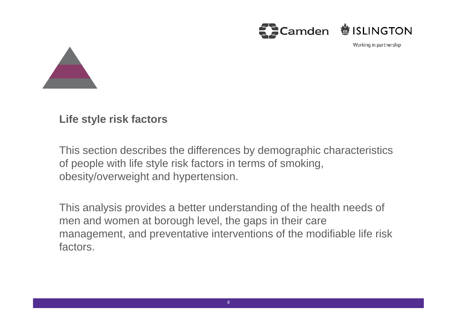



**Life style risk factors**

This section describes the differences by demographic characteristics of people with life style risk factors in terms of smoking, obesity/overweight and hypertension.

This analysis provides a better understanding of the health needs of men and women at borough level, the gaps in their care management, and preventative interventions of the modifiable life risk factors.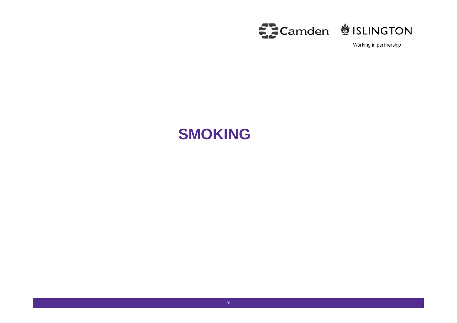

### **SMOKING**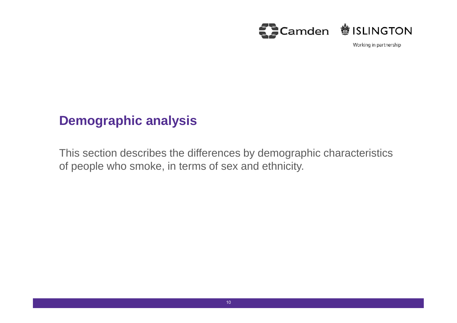

### **Demographic analysis**

This section describes the differences by demographic characteristics of people who smoke, in terms of sex and ethnicity.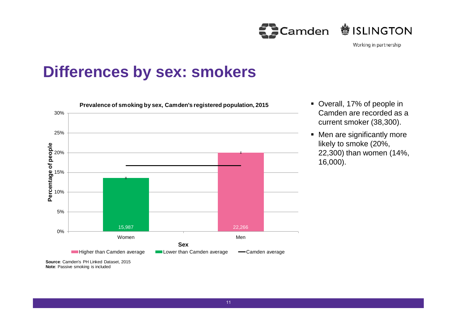$\sum$ Camden **<sup>参</sup>ISLINGTON** 

Working in partnership

### **Differences by sex: smokers**



- Overall, 17% of people in Camden are recorded as a current smoker (38,300).
- Men are significantly more likely to smoke (20%, 22,300) than women (14%, 16,000).

11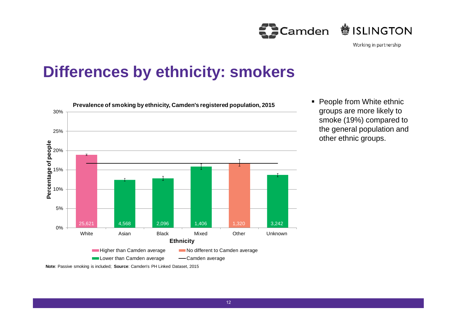Camden **参ISLINGTON** 

Working in partnership

## **Differences by ethnicity: smokers**



• People from White ethnic groups are more likely to smoke (19%) compared to the general population and other ethnic groups.

**Note**: Passive smoking is included; **Source**: Camden's PH Linked Dataset, 2015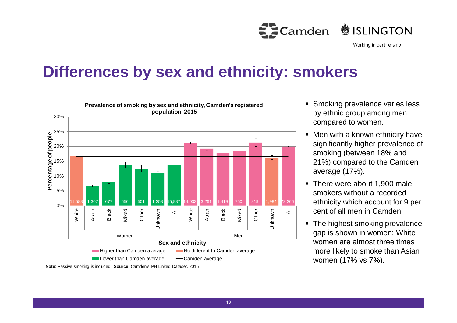

### **Differences by sex and ethnicity: smokers**



- Smoking prevalence varies less by ethnic group among men compared to women.
- Men with a known ethnicity have significantly higher prevalence of smoking (between 18% and 21%) compared to the Camden average (17%).
- There were about 1,900 male smokers without a recorded ethnicity which account for 9 per cent of all men in Camden.
- The highest smoking prevalence gap is shown in women; White women are almost three times more likely to smoke than Asian women (17% vs 7%).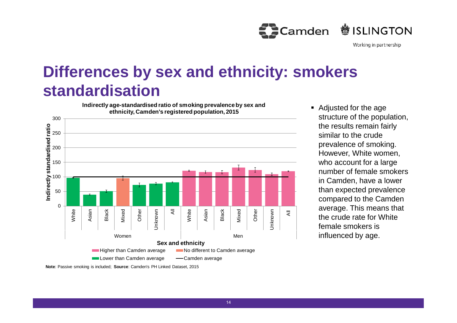

## **Differences by sex and ethnicity: smokers standardisation**

**Indirectly age-standardised ratio of smoking prevalence by sex and ethnicity, Camden's registered population, 2015**



 Adjusted for the age structure of the population, the results remain fairly similar to the crude prevalence of smoking. However, White women, who account for a large number of female smokers in Camden, have a lower than expected prevalence compared to the Camden average. This means that the crude rate for White female smokers is influenced by age.

**Note**: Passive smoking is included; **Source**: Camden's PH Linked Dataset, 2015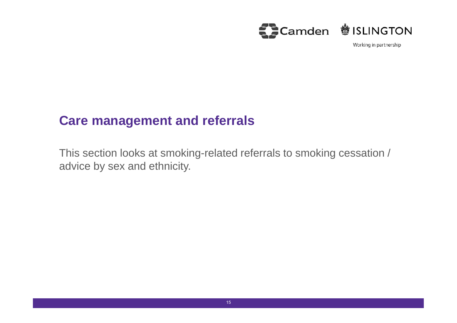

### **Care management and referrals**

This section looks at smoking-related referrals to smoking cessation / advice by sex and ethnicity.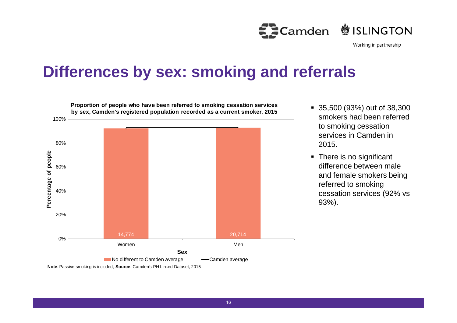

### **Differences by sex: smoking and referrals**



- 35,500 (93%) out of 38,300 smokers had been referred to smoking cessation services in Camden in 2015.
- There is no significant difference between male and female smokers being referred to smoking cessation services (92% vs 93%).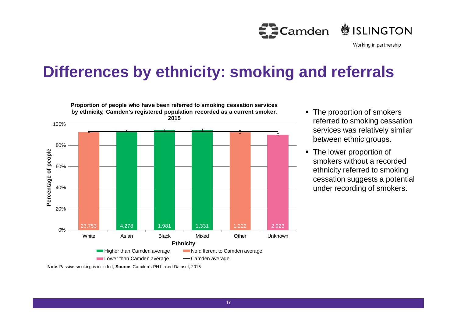

## **Differences by ethnicity: smoking and referrals**



**Proportion of people who have been referred to smoking cessation services**

- The proportion of smokers referred to smoking cessation services was relatively similar between ethnic groups.
- The lower proportion of smokers without a recorded ethnicity referred to smoking cessation suggests a potential under recording of smokers.

**Note**: Passive smoking is included; **Source**: Camden's PH Linked Dataset, 2015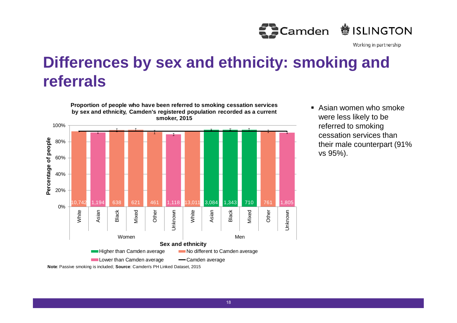

## **Differences by sex and ethnicity: smoking and referrals**



**Proportion of people who have been referred to smoking cessation services**

 Asian women who smoke were less likely to be referred to smoking cessation services than their male counterpart (91% vs 95%).

**Note**: Passive smoking is included; **Source**: Camden's PH Linked Dataset, 2015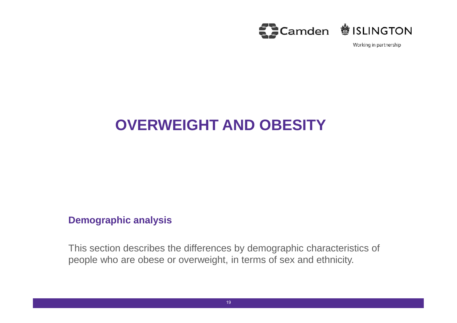

### **OVERWEIGHT AND OBESITY**

#### **Demographic analysis**

This section describes the differences by demographic characteristics of people who are obese or overweight, in terms of sex and ethnicity.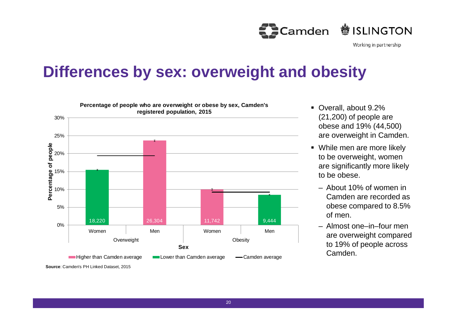**鬱ISLINGTON Camden** 

Working in partnership

### **Differences by sex: overweight and obesity**



- Overall, about 9.2% (21,200) of people are obese and 19% (44,500) are overweight in Camden.
- While men are more likely to be overweight, women are significantly more likely to be obese.
	- About 10% of women in Camden are recorded as obese compared to 8.5% of men.
	- Almost one–in–four men are overweight compared to 19% of people across Camden.

**Source**: Camden's PH Linked Dataset, 2015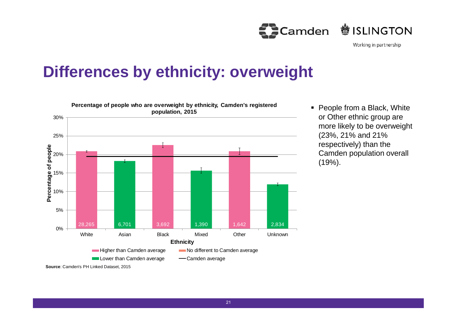

## **Differences by ethnicity: overweight**



• People from a Black, White or Other ethnic group are more likely to be overweight (23%, 21% and 21% respectively) than the Camden population overall (19%).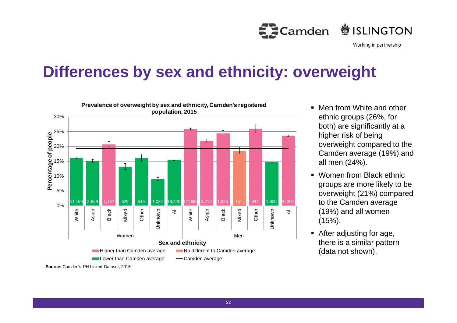**鬱ISLINGTON Camden** 

Working in partnership

## **Differences by sex and ethnicity: overweight**



- **Men from White and other** ethnic groups (26%, for both) are significantly at a higher risk of being overweight compared to the Camden average (19%) and all men (24%).
- Women from Black ethnic groups are more likely to be overweight (21%) compared to the Camden average (19%) and all women (15%).
- After adjusting for age, there is a similar pattern (data not shown).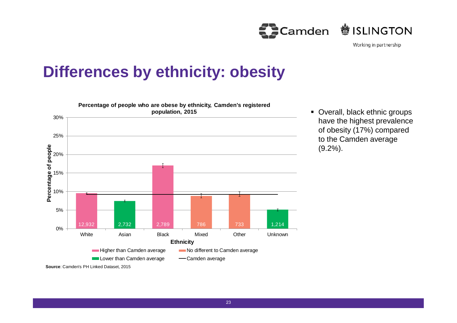Camden **参ISLINGTON** 

Working in partnership

## **Differences by ethnicity: obesity**



 Overall, black ethnic groups have the highest prevalence of obesity (17%) compared to the Camden average (9.2%).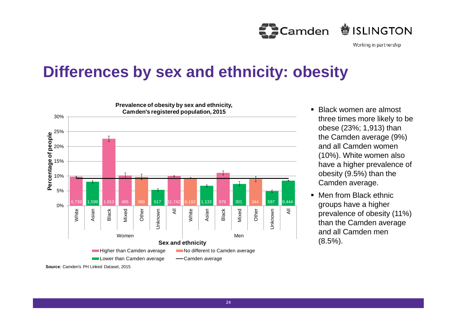**鬱ISLINGTON Camden** 

Working in partnership

### **Differences by sex and ethnicity: obesity**



- Black women are almost three times more likely to be obese (23%; 1,913) than the Camden average (9%) and all Camden women (10%). White women also have a higher prevalence of obesity (9.5%) than the Camden average.
- Men from Black ethnic groups have a higher prevalence of obesity (11%) than the Camden average and all Camden men (8.5%).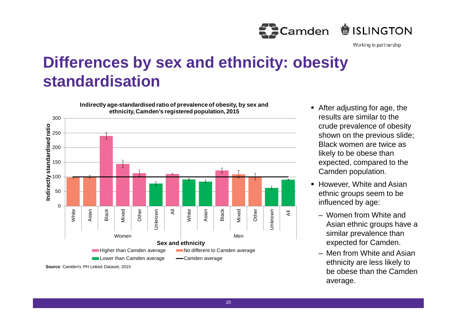

## **Differences by sex and ethnicity: obesity standardisation**



- After adjusting for age, the results are similar to the crude prevalence of obesity shown on the previous slide; Black women are twice as likely to be obese than expected, compared to the Camden population.
- However, White and Asian ethnic groups seem to be influenced by age:
	- Women from White and Asian ethnic groups have a similar prevalence than expected for Camden.
	- Men from White and Asian ethnicity are less likely to be obese than the Camden average.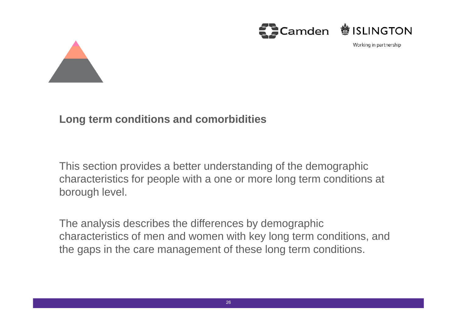



#### **Long term conditions and comorbidities**

This section provides a better understanding of the demographic characteristics for people with a one or more long term conditions at borough level.

The analysis describes the differences by demographic characteristics of men and women with key long term conditions, and the gaps in the care management of these long term conditions.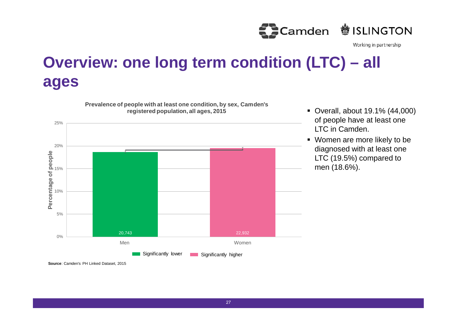

## **Overview: one long term condition (LTC) – all ages**



**Prevalence of people with at least one condition, by sex, Camden's**

- Overall, about 19.1% (44,000) of people have at least one LTC in Camden.
- Women are more likely to be diagnosed with at least one LTC (19.5%) compared to men (18.6%).

**Source**: Camden's PH Linked Dataset, 2015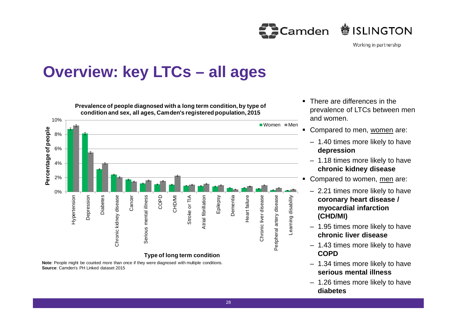**鬱ISLINGTON** Camden

Working in partnership

### **Overview: key LTCs – all ages**



**Note**: People might be counted more than once if they were diagnosed with multiple conditions. **Source**: Camden's PH Linked dataset 2015

- There are differences in the prevalence of LTCs between men and women.
- Compared to men, women are:
	- 1.40 times more likely to have **depression**
	- 1.18 times more likely to have **chronic kidney disease**
- Compared to women, men are:
	- 2.21 times more likely to have **coronary heart disease / myocardial infarction (CHD/MI)**
	- 1.95 times more likely to have **chronic liver disease**
	- 1.43 times more likely to have **COPD**
	- 1.34 times more likely to have **serious mental illness**
	- 1.26 times more likely to have **diabetes**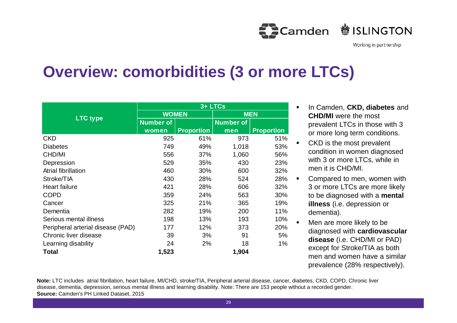**参ISLINGTON ED**Camden

Working in partnership

## **Overview: comorbidities (3 or more LTCs)**

|                                   | 3+ LTCs          |                   |                  |                   |  |  |  |  |
|-----------------------------------|------------------|-------------------|------------------|-------------------|--|--|--|--|
|                                   | <b>WOMEN</b>     |                   | <b>MEN</b>       |                   |  |  |  |  |
| <b>LTC type</b>                   | <b>Number of</b> |                   | <b>Number of</b> |                   |  |  |  |  |
|                                   | women            | <b>Proportion</b> | men              | <b>Proportion</b> |  |  |  |  |
| <b>CKD</b>                        | 925              | 61%               | 973              | 51%               |  |  |  |  |
| <b>Diabetes</b>                   | 749              | 49%               | 1,018            | 53%               |  |  |  |  |
| CHD/MI                            | 556              | 37%               | 1,060            | 56%               |  |  |  |  |
| Depression                        | 529              | 35%               | 430              | 23%               |  |  |  |  |
| Atrial fibrillation               | 460              | 30%               | 600              | 32%               |  |  |  |  |
| Stroke/TIA                        | 430              | 28%               | 524              | 28%               |  |  |  |  |
| <b>Heart failure</b>              | 421              | 28%               | 606              | 32%               |  |  |  |  |
| <b>COPD</b>                       | 359              | 24%               | 563              | 30%               |  |  |  |  |
| Cancer                            | 325              | 21%               | 365              | 19%               |  |  |  |  |
| Dementia                          | 282              | 19%               | 200              | 11%               |  |  |  |  |
| Serious mental illness            | 198              | 13%               | 193              | 10%               |  |  |  |  |
| Peripheral arterial disease (PAD) | 177              | 12%               | 373              | 20%               |  |  |  |  |
| Chronic liver disease             | 39               | 3%                | 91               | 5%                |  |  |  |  |
| Learning disability               | 24               | 2%                | 18               | 1%                |  |  |  |  |
| <b>Total</b>                      | 1,523            |                   | 1,904            |                   |  |  |  |  |

- In Camden, **CKD, diabetes** and **CHD/MI** were the most prevalent LTCs in those with 3 or more long term conditions.
- CKD is the most prevalent condition in women diagnosed with 3 or more LTCs, while in men it is CHD/MI.
- Compared to men, women with 3 or more LTCs are more likely to be diagnosed with a **mental illness** (i.e. depression or dementia).
- Men are more likely to be diagnosed with **cardiovascular disease** (i.e. CHD/MI or PAD) except for Stroke/TIA as both men and women have a similar prevalence (28% respectively).

**Note:** LTC includes atrial fibrillation, heart failure, MI/CHD, stroke/TIA, Peripheral arterial disease, cancer, diabetes, CKD, COPD, Chronic liver disease, dementia, depression, serious mental illness and learning disability. Note: There are 153 people without a recorded gender. **Source:** Camden's PH Linked Dataset, 2015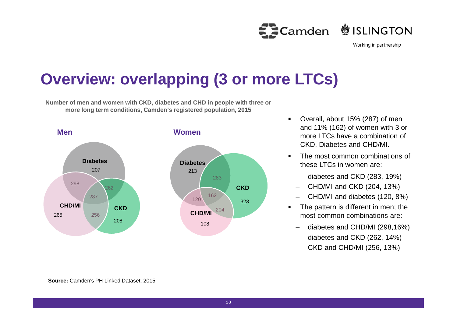<br />
Camden <sup>
●</sup>
SLINGTON

Working in partnership

## **Overview: overlapping (3 or more LTCs)**

**Number of men and women with CKD, diabetes and CHD in people with three or more long term conditions, Camden's registered population, 2015**



- Overall, about 15% (287) of men and 11% (162) of women with 3 or more LTCs have a combination of CKD, Diabetes and CHD/MI.
- The most common combinations of these LTCs in women are:
	- diabetes and CKD (283, 19%)
	- CHD/MI and CKD (204, 13%)
	- CHD/MI and diabetes (120, 8%)
- The pattern is different in men; the most common combinations are:
	- diabetes and CHD/MI (298,16%)
	- diabetes and CKD (262, 14%)
	- CKD and CHD/MI (256, 13%)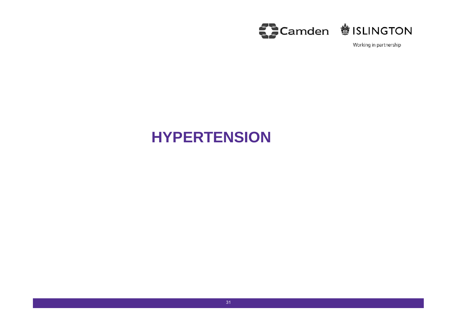

### **HYPERTENSION**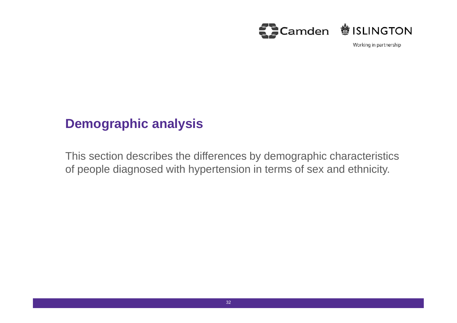

### **Demographic analysis**

This section describes the differences by demographic characteristics of people diagnosed with hypertension in terms of sex and ethnicity.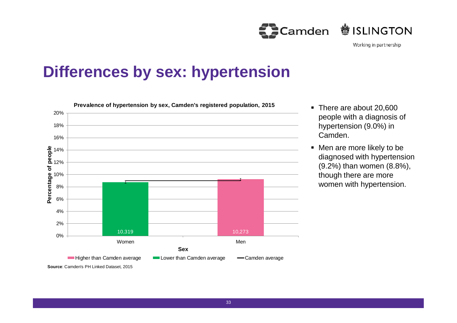Camden **鬱ISLINGTON** 

Working in partnership

## **Differences by sex: hypertension**



- There are about 20,600 people with a diagnosis of hypertension (9.0%) in Camden.
- Men are more likely to be diagnosed with hypertension (9.2%) than women (8.8%), though there are more women with hypertension.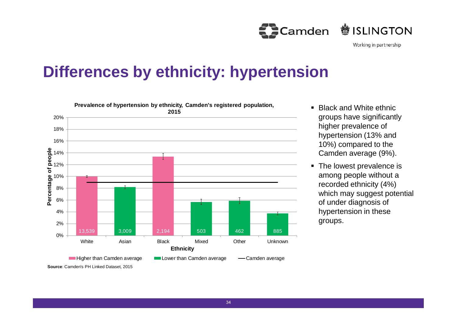

## **Differences by ethnicity: hypertension**



- $\blacksquare$  Black and White ethnic. groups have significantly higher prevalence of hypertension (13% and 10%) compared to the Camden average (9%).
- The lowest prevalence is among people without a recorded ethnicity (4%) which may suggest potential of under diagnosis of hypertension in these groups.

34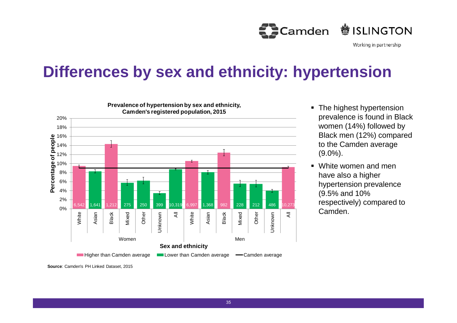**鬱ISLINGTON Camden** 

Working in partnership

## **Differences by sex and ethnicity: hypertension**



- The highest hypertension prevalence is found in Black women (14%) followed by Black men (12%) compared to the Camden average (9.0%).
- White women and men have also a higher hypertension prevalence (9.5% and 10% respectively) compared to Camden.

**Source**: Camden's PH Linked Dataset, 2015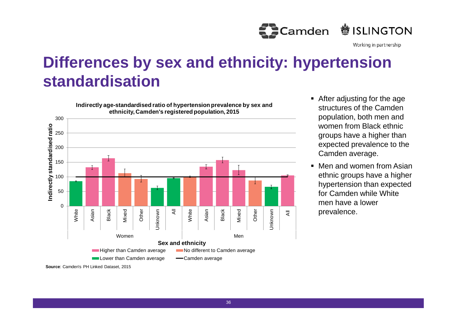

# **Differences by sex and ethnicity: hypertension standardisation**



- After adjusting for the age structures of the Camden population, both men and women from Black ethnic groups have a higher than expected prevalence to the Camden average.
- Men and women from Asian ethnic groups have a higher hypertension than expected for Camden while White men have a lower prevalence.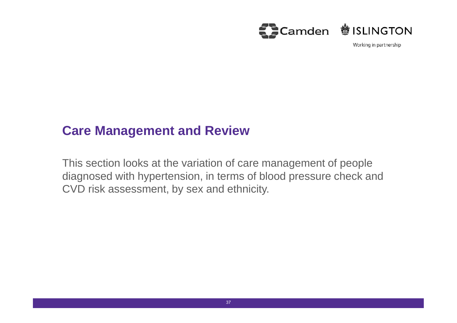

#### **Care Management and Review**

This section looks at the variation of care management of people diagnosed with hypertension, in terms of blood pressure check and CVD risk assessment, by sex and ethnicity.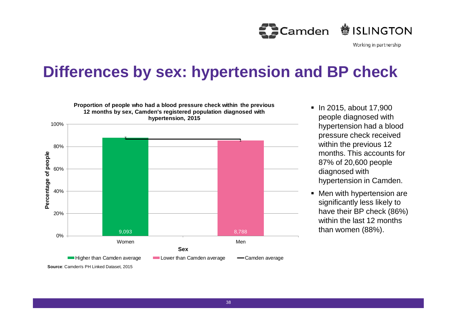

## **Differences by sex: hypertension and BP check**



- In 2015, about 17,900 people diagnosed with hypertension had a blood pressure check received within the previous 12 months. This accounts for 87% of 20,600 people diagnosed with hypertension in Camden.
- Men with hypertension are significantly less likely to have their BP check (86%) within the last 12 months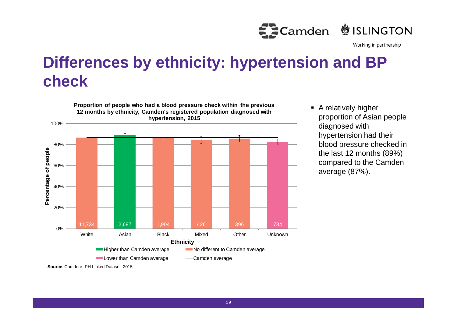

# **Differences by ethnicity: hypertension and BP check**



**A** relatively higher proportion of Asian people diagnosed with hypertension had their blood pressure checked in the last 12 months (89%) compared to the Camden average (87%).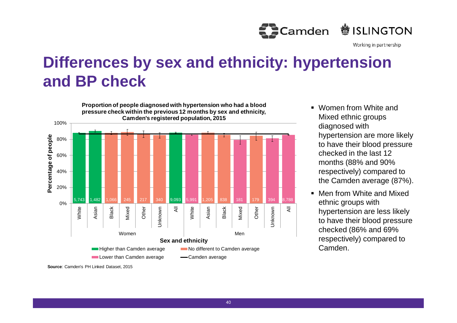

# **Differences by sex and ethnicity: hypertension and BP check**



- **Nomen from White and** Mixed ethnic groups diagnosed with hypertension are more likely to have their blood pressure checked in the last 12 months (88% and 90% respectively) compared to the Camden average (87%).
- Men from White and Mixed ethnic groups with hypertension are less likely to have their blood pressure checked (86% and 69% respectively) compared to Camden.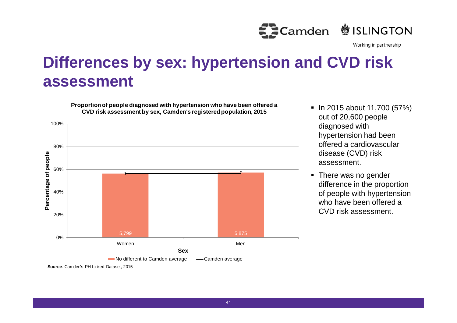

# **Differences by sex: hypertension and CVD risk assessment**

**Proportion of people diagnosed with hypertension who have been offered a CVD risk assessment by sex, Camden's registered population, 2015**



- $\blacksquare$  In 2015 about 11,700 (57%) out of 20,600 people diagnosed with hypertension had been offered a cardiovascular disease (CVD) risk assessment.
- There was no gender difference in the proportion of people with hypertension who have been offered a CVD risk assessment.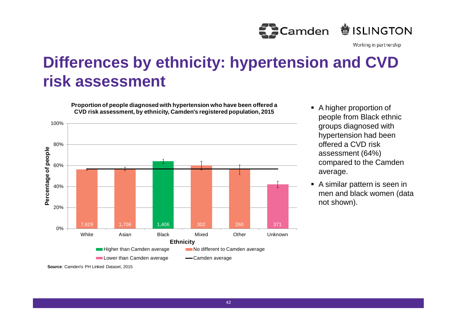

# **Differences by ethnicity: hypertension and CVD risk assessment**

**Proportion of people diagnosed with hypertension who have been offered a CVD risk assessment, by ethnicity, Camden's registered population, 2015**



- A higher proportion of people from Black ethnic groups diagnosed with hypertension had been offered a CVD risk assessment (64%) compared to the Camden average.
- A similar pattern is seen in men and black women (data not shown).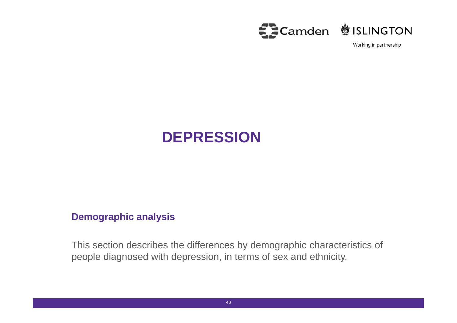



#### **Demographic analysis**

This section describes the differences by demographic characteristics of people diagnosed with depression, in terms of sex and ethnicity.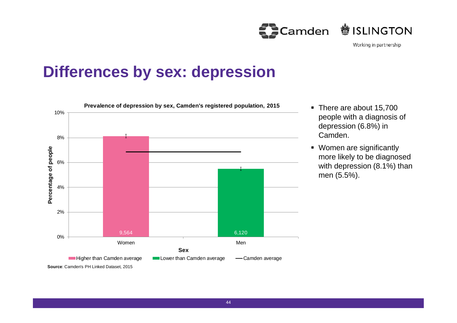Camden **参ISLINGTON** 

Working in partnership

## **Differences by sex: depression**



- There are about 15,700 people with a diagnosis of depression (6.8%) in Camden.
- Women are significantly more likely to be diagnosed with depression (8.1%) than men (5.5%).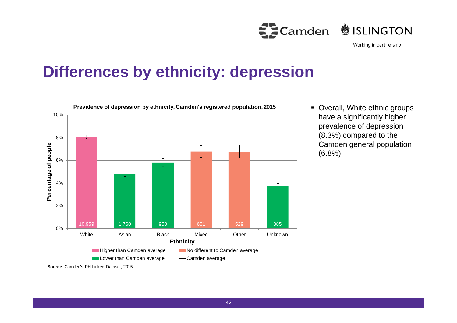

#### **Differences by ethnicity: depression**



 Overall, White ethnic groups have a significantly higher prevalence of depression (8.3%) compared to the Camden general population (6.8%).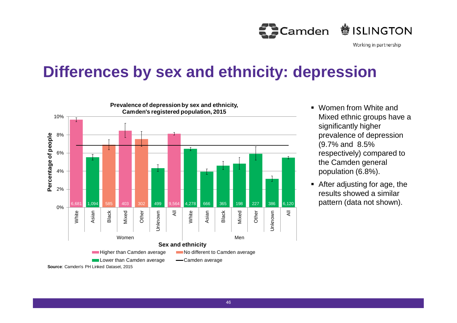

## **Differences by sex and ethnicity: depression**



- **Nomen from White and** Mixed ethnic groups have a significantly higher prevalence of depression (9.7% and 8.5% respectively) compared to the Camden general population (6.8%).
- After adjusting for age, the results showed a similar pattern (data not shown).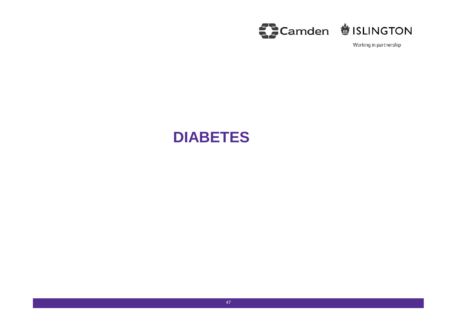

#### **DIABETES**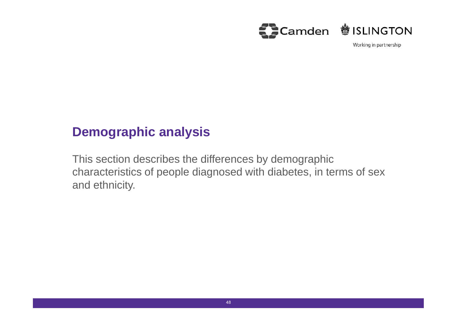

#### **Demographic analysis**

This section describes the differences by demographic characteristics of people diagnosed with diabetes, in terms of sex and ethnicity.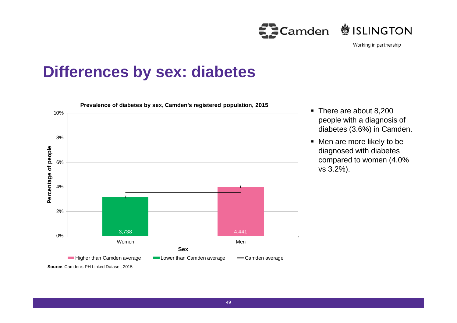Camden **<sup>参</sup>ISLINGTON** 



#### **Differences by sex: diabetes**



- There are about 8,200 people with a diagnosis of diabetes (3.6%) in Camden.
- Men are more likely to be diagnosed with diabetes compared to women (4.0% vs 3.2%).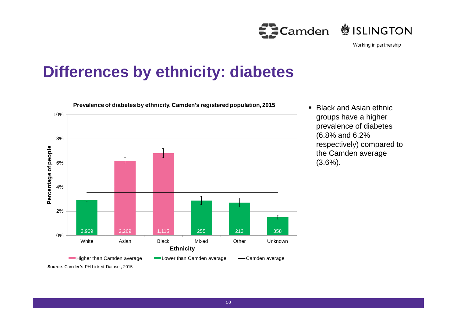Camden **参ISLINGTON** 

Working in partnership

# **Differences by ethnicity: diabetes**



 $\blacksquare$  Black and Asian ethnic. groups have a higher prevalence of diabetes (6.8% and 6.2% respectively) compared to the Camden average (3.6%).

50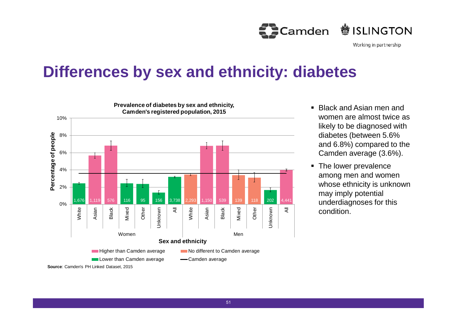

### **Differences by sex and ethnicity: diabetes**



- Black and Asian men and women are almost twice as likely to be diagnosed with diabetes (between 5.6% and 6.8%) compared to the Camden average (3.6%).
- The lower prevalence among men and women whose ethnicity is unknown may imply potential underdiagnoses for this condition.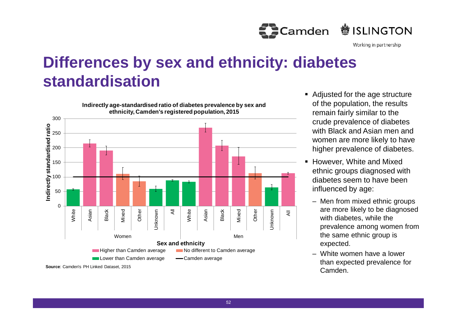

# **Differences by sex and ethnicity: diabetes standardisation**



- Adjusted for the age structure of the population, the results remain fairly similar to the crude prevalence of diabetes with Black and Asian men and women are more likely to have higher prevalence of diabetes.
- **However, White and Mixed** ethnic groups diagnosed with diabetes seem to have been influenced by age:
	- Men from mixed ethnic groups are more likely to be diagnosed with diabetes, while the prevalence among women from the same ethnic group is expected.
	- White women have a lower than expected prevalence for Camden.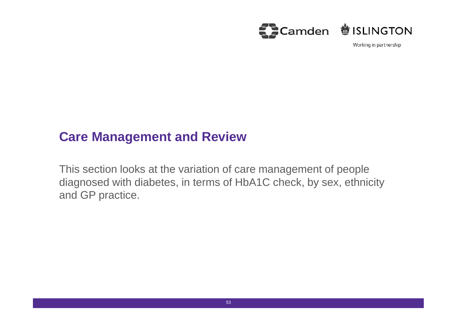

#### **Care Management and Review**

This section looks at the variation of care management of people diagnosed with diabetes, in terms of HbA1C check, by sex, ethnicity and GP practice.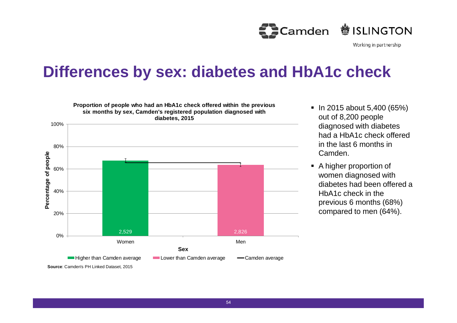

## **Differences by sex: diabetes and HbA1c check**



- $\blacksquare$  In 2015 about 5,400 (65%) out of 8,200 people diagnosed with diabetes had a HbA1c check offered in the last 6 months in Camden.
- A higher proportion of women diagnosed with diabetes had been offered a HbA1c check in the previous 6 months (68%) compared to men (64%).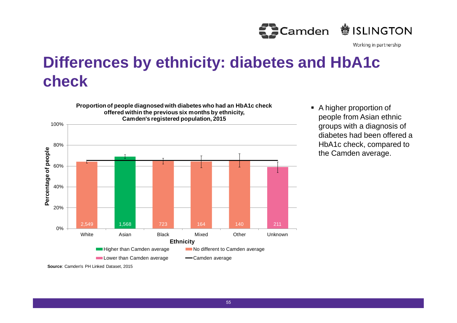

# **Differences by ethnicity: diabetes and HbA1c check**



 A higher proportion of people from Asian ethnic groups with a diagnosis of diabetes had been offered a HbA1c check, compared to the Camden average.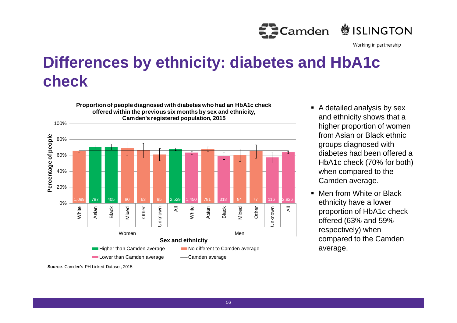

# **Differences by ethnicity: diabetes and HbA1c check**



- A detailed analysis by sex and ethnicity shows that a higher proportion of women from Asian or Black ethnic groups diagnosed with diabetes had been offered a HbA1c check (70% for both) when compared to the Camden average.
- Men from White or Black ethnicity have a lower proportion of HbA1c check offered (63% and 59% respectively) when compared to the Camden average.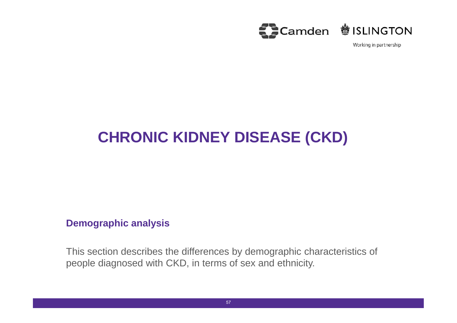

# **CHRONIC KIDNEY DISEASE (CKD)**

#### **Demographic analysis**

This section describes the differences by demographic characteristics of people diagnosed with CKD, in terms of sex and ethnicity.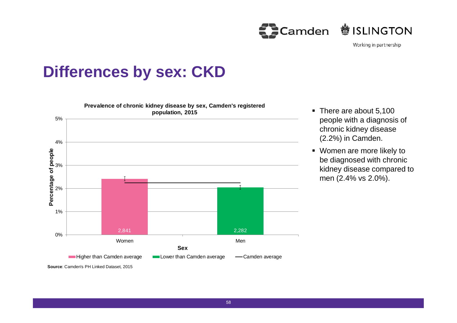

#### **Differences by sex: CKD**



- There are about 5,100 people with a diagnosis of chronic kidney disease (2.2%) in Camden.
- Women are more likely to be diagnosed with chronic kidney disease compared to men (2.4% vs 2.0%).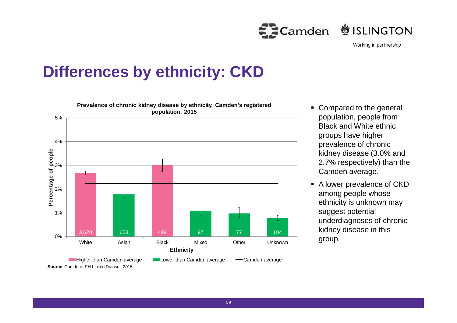**鬱ISLINGTON Camden** 



# **Differences by ethnicity: CKD**



- Compared to the general population, people from Black and White ethnic groups have higher prevalence of chronic kidney disease (3.0% and 2.7% respectively) than the Camden average.
- A lower prevalence of CKD among people whose ethnicity is unknown may suggest potential underdiagnoses of chronic kidney disease in this group.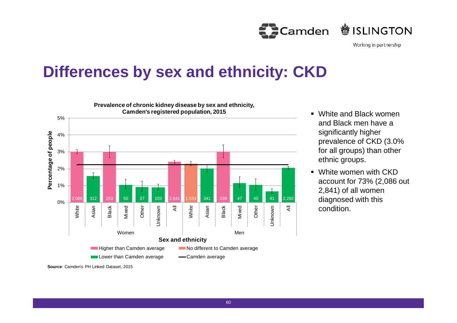**鬱ISLINGTON Camden** 

Working in partnership

# **Differences by sex and ethnicity: CKD**



- White and Black women and Black men have a significantly higher prevalence of CKD (3.0% for all groups) than other ethnic groups.
	- White women with CKD account for 73% (2,086 out 2,841) of all women diagnosed with this condition.

**Source**: Camden's PH Linked Dataset, 2015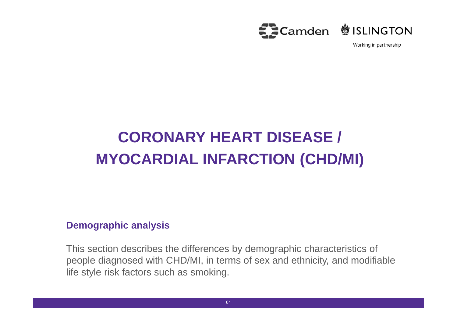

# **CORONARY HEART DISEASE / MYOCARDIAL INFARCTION (CHD/MI)**

#### **Demographic analysis**

This section describes the differences by demographic characteristics of people diagnosed with CHD/MI, in terms of sex and ethnicity, and modifiable life style risk factors such as smoking.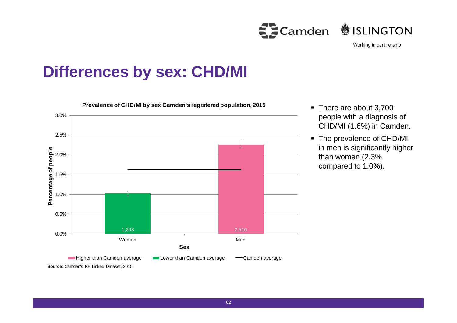

Working in partnership

## **Differences by sex: CHD/MI**



- There are about 3,700 people with a diagnosis of CHD/MI (1.6%) in Camden.
- The prevalence of CHD/MI in men is significantly higher than women (2.3% compared to 1.0%).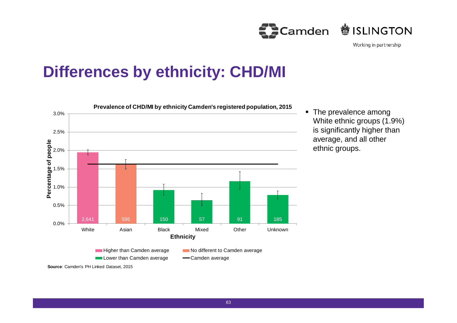**<sup>参</sup>ISLINGTON** Camden

Working in partnership

# **Differences by ethnicity: CHD/MI**



• The prevalence among White ethnic groups (1.9%) is significantly higher than average, and all other ethnic groups.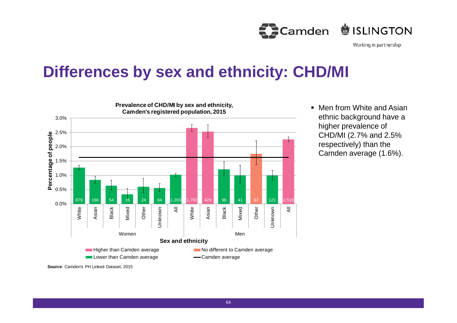

# **Differences by sex and ethnicity: CHD/MI**



**Men from White and Asian** ethnic background have a higher prevalence of CHD/MI (2.7% and 2.5% respectively) than the Camden average (1.6%).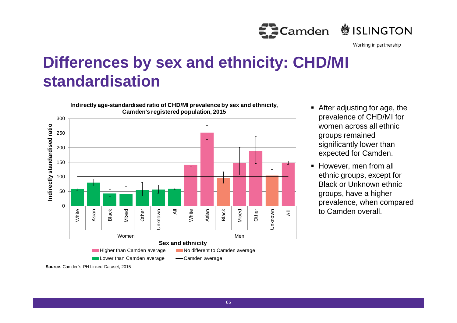

# **Differences by sex and ethnicity: CHD/MI standardisation**



- After adjusting for age, the prevalence of CHD/MI for women across all ethnic groups remained significantly lower than expected for Camden.
- **However, men from all** ethnic groups, except for Black or Unknown ethnic groups, have a higher prevalence, when compared to Camden overall.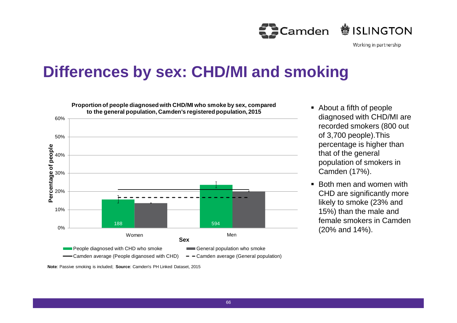

## **Differences by sex: CHD/MI and smoking**



- About a fifth of people diagnosed with CHD/MI are recorded smokers (800 out of 3,700 people).This percentage is higher than that of the general population of smokers in Camden (17%).
- Both men and women with CHD are significantly more likely to smoke (23% and 15%) than the male and female smokers in Camden (20% and 14%).

**Note**: Passive smoking is included; **Source**: Camden's PH Linked Dataset, 2015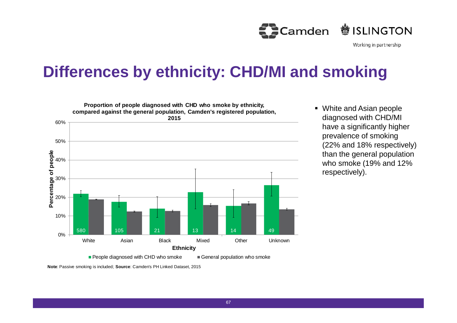

# **Differences by ethnicity: CHD/MI and smoking**



 White and Asian people diagnosed with CHD/MI have a significantly higher prevalence of smoking (22% and 18% respectively) than the general population who smoke (19% and 12% respectively).

**Note**: Passive smoking is included; **Source**: Camden's PH Linked Dataset, 2015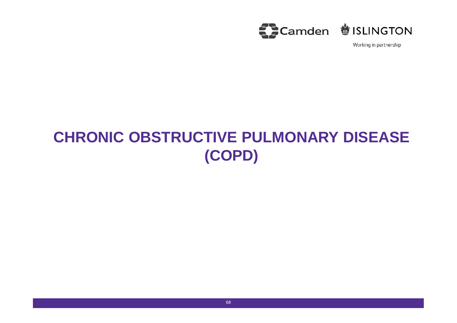

# **CHRONIC OBSTRUCTIVE PULMONARY DISEASE (COPD)**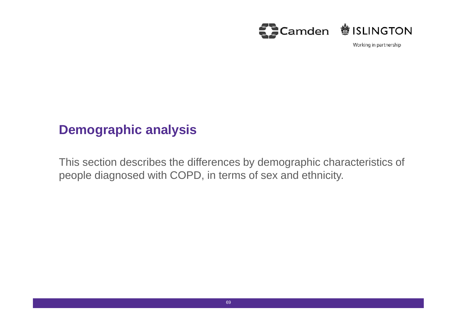

#### **Demographic analysis**

This section describes the differences by demographic characteristics of people diagnosed with COPD, in terms of sex and ethnicity.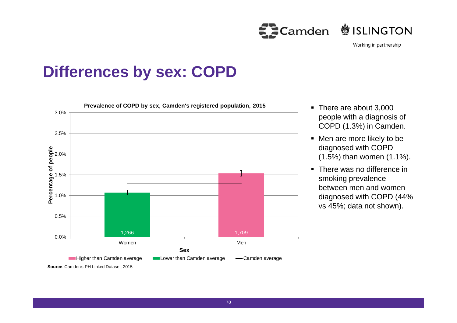

### **Differences by sex: COPD**



- There are about 3,000 people with a diagnosis of COPD (1.3%) in Camden.
- Men are more likely to be diagnosed with COPD (1.5%) than women (1.1%).
- There was no difference in smoking prevalence between men and women diagnosed with COPD (44% vs 45%; data not shown).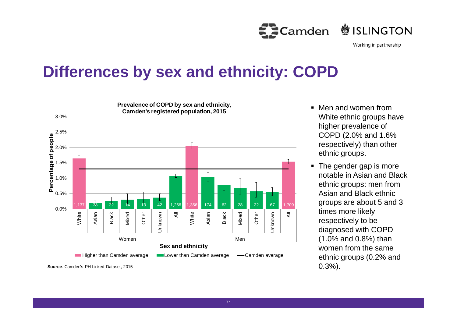**鬱ISLINGTON ED** Camden

Working in partnership

# **Differences by sex and ethnicity: COPD**



- Men and women from White ethnic groups have higher prevalence of COPD (2.0% and 1.6% respectively) than other ethnic groups.
- The gender gap is more notable in Asian and Black ethnic groups: men from Asian and Black ethnic groups are about 5 and 3 times more likely respectively to be diagnosed with COPD (1.0% and 0.8%) than women from the same ethnic groups (0.2% and 0.3%).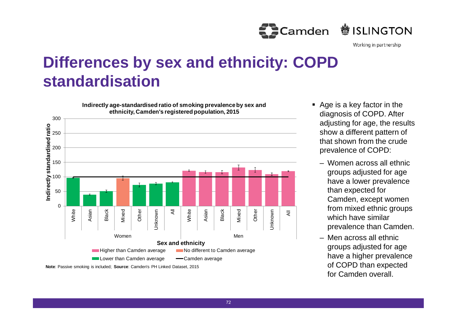

### **Differences by sex and ethnicity: COPD standardisation**

0 50 100 150 200 250 300 White Asian Black Mixed Other Unknown  $\bar{z}$ White Asian Black Mixed Other Unknown  $\overline{z}$ Women Men **In dire** さ<br>という **sta n ᅙᆞ ardis e d ratio Sex and ethnicity ethnicity, Camden's registered population, 2015 Higher than Camden average No different to Camden average** Lower than Camden average - Camden average **Note**: Passive smoking is included; **Source**: Camden's PH Linked Dataset, 2015

**Indirectly age-standardised ratio of smoking prevalence by sex and**

- Age is a key factor in the diagnosis of COPD. After adjusting for age, the results show a different pattern of that shown from the crude prevalence of COPD:
	- Women across all ethnic groups adjusted for age have a lower prevalence than expected for Camden, except women from mixed ethnic groups which have similar prevalence than Camden.
	- Men across all ethnic groups adjusted for age have a higher prevalence of COPD than expected for Camden overall.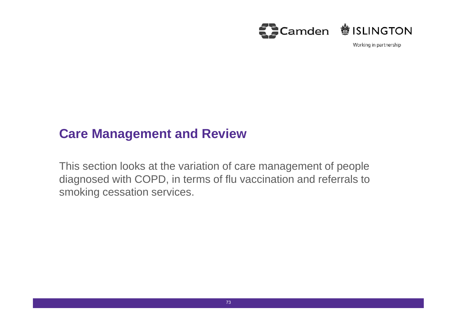

#### **Care Management and Review**

This section looks at the variation of care management of people diagnosed with COPD, in terms of flu vaccination and referrals to smoking cessation services.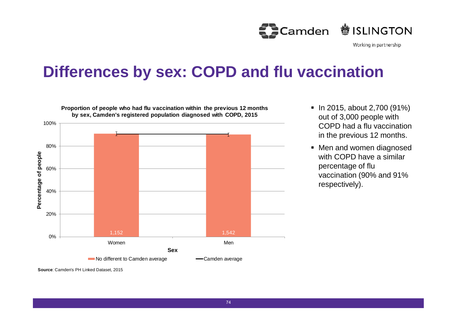

#### **Differences by sex: COPD and flu vaccination**



**Proportion of people who had flu vaccination within the previous 12 months**

- $\blacksquare$  In 2015, about 2,700 (91%) out of 3,000 people with COPD had a flu vaccination in the previous 12 months.
- Men and women diagnosed with COPD have a similar percentage of flu vaccination (90% and 91% respectively).

**Source**: Camden's PH Linked Dataset, 2015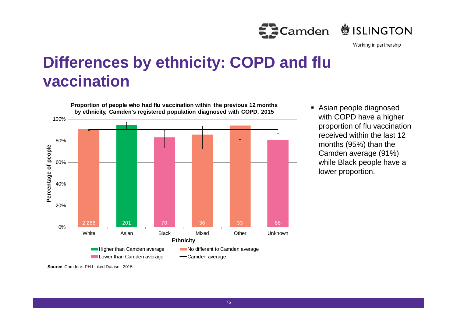

### **Differences by ethnicity: COPD and flu vaccination**



 Asian people diagnosed with COPD have a higher proportion of flu vaccination received within the last 12 months (95%) than the Camden average (91%) while Black people have a lower proportion.

**Source**: Camden's PH Linked Dataset, 2015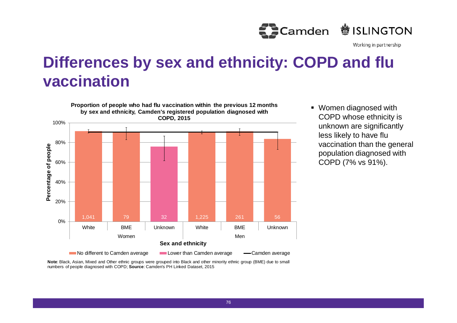

### **Differences by sex and ethnicity: COPD and flu vaccination**



 Women diagnosed with COPD whose ethnicity is unknown are significantly less likely to have flu vaccination than the general population diagnosed with COPD (7% vs 91%).

**Note**: Black, Asian, Mixed and Other ethnic groups were grouped into Black and other minority ethnic group (BME) due to small numbers of people diagnosed with COPD; **Source**: Camden's PH Linked Dataset, 2015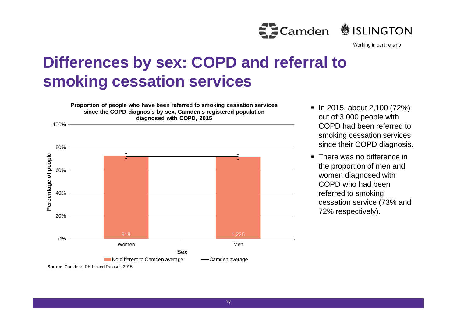

# **Differences by sex: COPD and referral to smoking cessation services**



- In 2015, about 2,100 (72%) out of 3,000 people with COPD had been referred to smoking cessation services since their COPD diagnosis.
- There was no difference in the proportion of men and women diagnosed with COPD who had been referred to smoking cessation service (73% and 72% respectively).

**Source**: Camden's PH Linked Dataset, 2015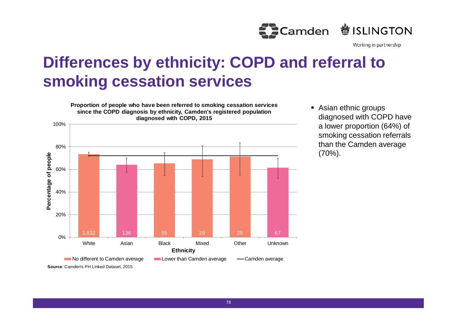

# **Differences by ethnicity: COPD and referral to smoking cessation services**



**Asian ethnic groups** diagnosed with COPD have a lower proportion (64%) of smoking cessation referrals than the Camden average (70%).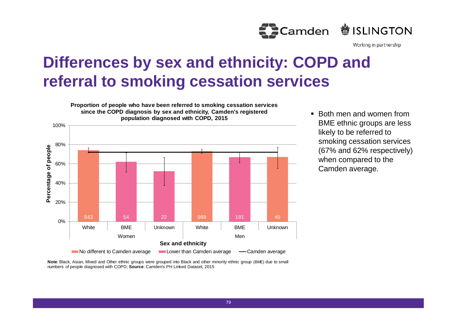

# **Differences by sex and ethnicity: COPD and referral to smoking cessation services**



■ Both men and women from BME ethnic groups are less likely to be referred to smoking cessation services (67% and 62% respectively) when compared to the Camden average.

**Note**: Black, Asian, Mixed and Other ethnic groups were grouped into Black and other minority ethnic group (BME) due to small numbers of people diagnosed with COPD; **Source**: Camden's PH Linked Dataset, 2015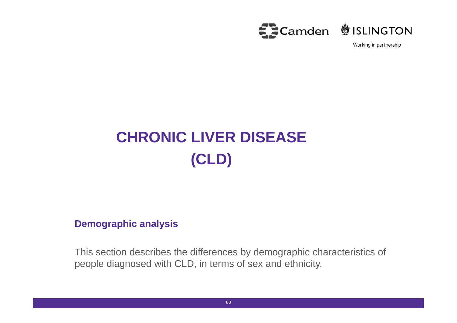

# **CHRONIC LIVER DISEASE (CLD)**

#### **Demographic analysis**

This section describes the differences by demographic characteristics of people diagnosed with CLD, in terms of sex and ethnicity.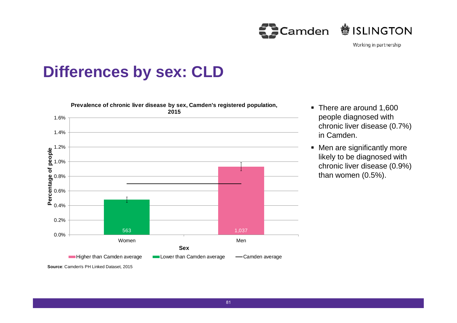

#### **Differences by sex: CLD**



- There are around 1,600 people diagnosed with chronic liver disease (0.7%) in Camden.
- Men are significantly more likely to be diagnosed with chronic liver disease (0.9%) than women (0.5%).

**Source**: Camden's PH Linked Dataset, 2015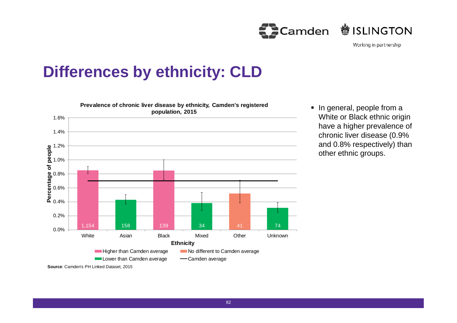Camden **参ISLINGTON** 

Working in partnership

#### **Differences by ethnicity: CLD**



• In general, people from a White or Black ethnic origin have a higher prevalence of chronic liver disease (0.9% and 0.8% respectively) than other ethnic groups.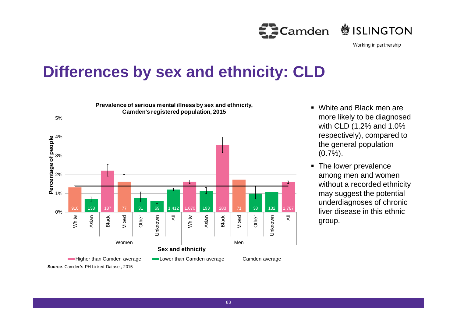**参ISLINGTON Camden** 

Working in partnership

#### **Differences by sex and ethnicity: CLD**



- White and Black men are more likely to be diagnosed with CLD (1.2% and 1.0% respectively), compared to the general population  $(0.7\%)$ .
- The lower prevalence among men and women without a recorded ethnicity may suggest the potential underdiagnoses of chronic liver disease in this ethnic group.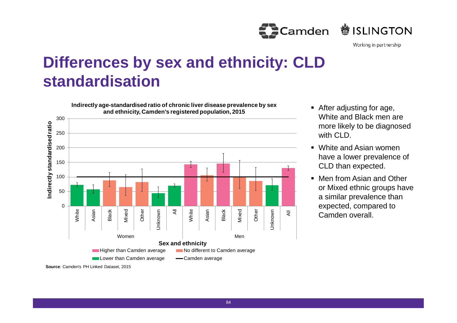**鬱ISLINGTON Camden** 

Working in partnership

### **Differences by sex and ethnicity: CLD standardisation**



- After adiusting for age, White and Black men are more likely to be diagnosed with CLD.
- White and Asian women have a lower prevalence of CLD than expected.
- Men from Asian and Other or Mixed ethnic groups have a similar prevalence than expected, compared to Camden overall.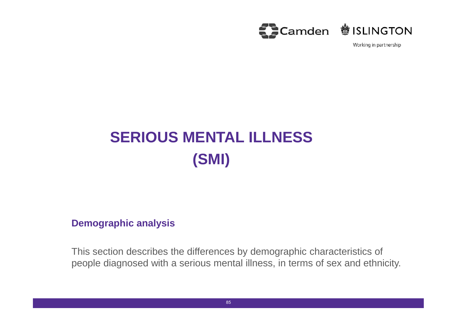

# **SERIOUS MENTAL ILLNESS (SMI)**

#### **Demographic analysis**

This section describes the differences by demographic characteristics of people diagnosed with a serious mental illness, in terms of sex and ethnicity.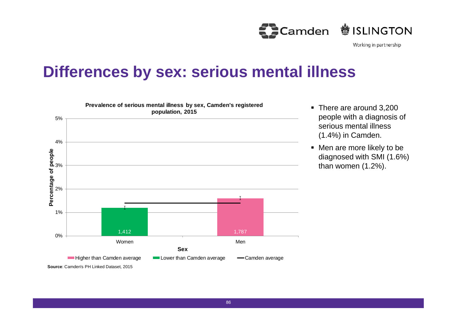

#### **Differences by sex: serious mental illness**



- There are around 3,200 people with a diagnosis of serious mental illness (1.4%) in Camden.
- Men are more likely to be diagnosed with SMI (1.6%) than women (1.2%).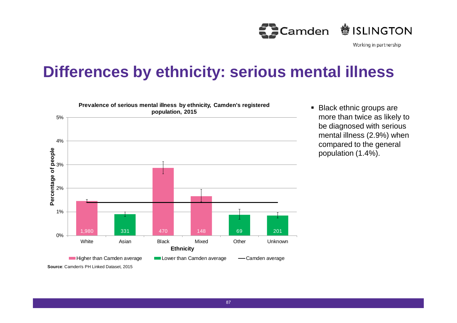

#### **Differences by ethnicity: serious mental illness**



**Black ethnic groups are** more than twice as likely to be diagnosed with serious mental illness (2.9%) when compared to the general population (1.4%).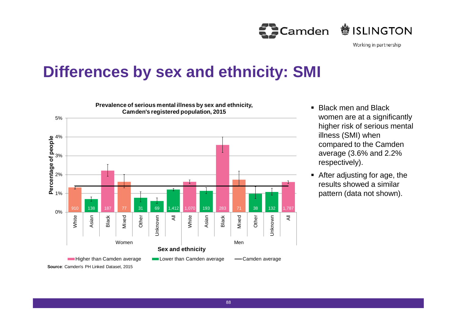**鬱ISLINGTON Camden** 

Working in partnership

#### **Differences by sex and ethnicity: SMI**



- Black men and Black women are at a significantly higher risk of serious mental illness (SMI) when compared to the Camden average (3.6% and 2.2% respectively).
- After adjusting for age, the results showed a similar pattern (data not shown).